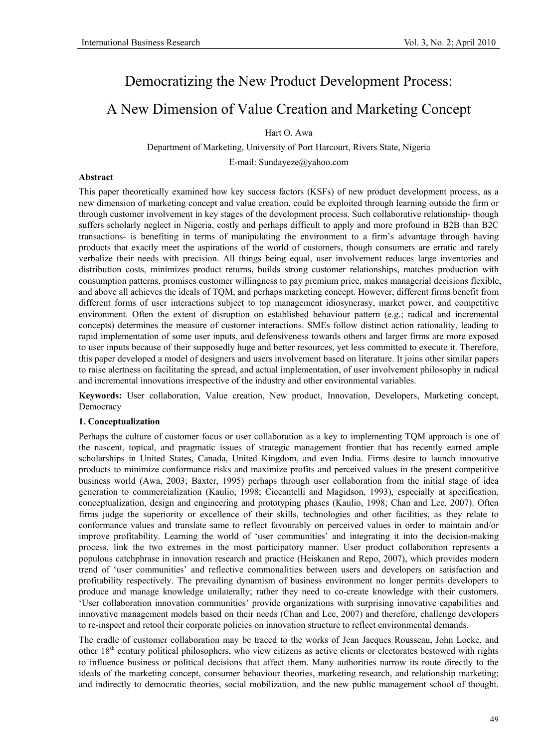## Democratizing the New Product Development Process:

# A New Dimension of Value Creation and Marketing Concept

Hart O. Awa

Department of Marketing, University of Port Harcourt, Rivers State, Nigeria

E-mail: Sundayeze@yahoo.com

## **Abstract**

This paper theoretically examined how key success factors (KSFs) of new product development process, as a new dimension of marketing concept and value creation, could be exploited through learning outside the firm or through customer involvement in key stages of the development process. Such collaborative relationship- though suffers scholarly neglect in Nigeria, costly and perhaps difficult to apply and more profound in B2B than B2C transactions- is benefiting in terms of manipulating the environment to a firm's advantage through having products that exactly meet the aspirations of the world of customers, though consumers are erratic and rarely verbalize their needs with precision. All things being equal, user involvement reduces large inventories and distribution costs, minimizes product returns, builds strong customer relationships, matches production with consumption patterns, promises customer willingness to pay premium price, makes managerial decisions flexible, and above all achieves the ideals of TQM, and perhaps marketing concept. However, different firms benefit from different forms of user interactions subject to top management idiosyncrasy, market power, and competitive environment. Often the extent of disruption on established behaviour pattern (e.g.; radical and incremental concepts) determines the measure of customer interactions. SMEs follow distinct action rationality, leading to rapid implementation of some user inputs, and defensiveness towards others and larger firms are more exposed to user inputs because of their supposedly huge and better resources, yet less committed to execute it. Therefore, this paper developed a model of designers and users involvement based on literature. It joins other similar papers to raise alertness on facilitating the spread, and actual implementation, of user involvement philosophy in radical and incremental innovations irrespective of the industry and other environmental variables.

**Keywords:** User collaboration, Value creation, New product, Innovation, Developers, Marketing concept, Democracy

#### **1. Conceptualization**

Perhaps the culture of customer focus or user collaboration as a key to implementing TQM approach is one of the nascent, topical, and pragmatic issues of strategic management frontier that has recently earned ample scholarships in United States, Canada, United Kingdom, and even India. Firms desire to launch innovative products to minimize conformance risks and maximize profits and perceived values in the present competitive business world (Awa, 2003; Baxter, 1995) perhaps through user collaboration from the initial stage of idea generation to commercialization (Kaulio, 1998; Ciccantelli and Magidson, 1993), especially at specification, conceptualization, design and engineering and prototyping phases (Kaulio, 1998; Chan and Lee, 2007). Often firms judge the superiority or excellence of their skills, technologies and other facilities, as they relate to conformance values and translate same to reflect favourably on perceived values in order to maintain and/or improve profitability. Learning the world of 'user communities' and integrating it into the decision-making process, link the two extremes in the most participatory manner. User product collaboration represents a populous catchphrase in innovation research and practice (Heiskanen and Repo, 2007), which provides modern trend of 'user communities' and reflective commonalities between users and developers on satisfaction and profitability respectively. The prevailing dynamism of business environment no longer permits developers to produce and manage knowledge unilaterally; rather they need to co-create knowledge with their customers. 'User collaboration innovation communities' provide organizations with surprising innovative capabilities and innovative management models based on their needs (Chan and Lee, 2007) and therefore, challenge developers to re-inspect and retool their corporate policies on innovation structure to reflect environmental demands.

The cradle of customer collaboration may be traced to the works of Jean Jacques Rousseau, John Locke, and other 18<sup>th</sup> century political philosophers, who view citizens as active clients or electorates bestowed with rights to influence business or political decisions that affect them. Many authorities narrow its route directly to the ideals of the marketing concept, consumer behaviour theories, marketing research, and relationship marketing; and indirectly to democratic theories, social mobilization, and the new public management school of thought.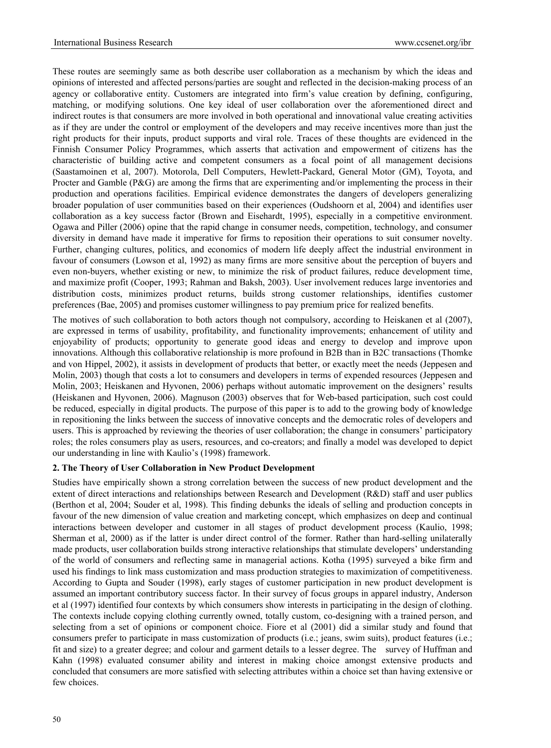These routes are seemingly same as both describe user collaboration as a mechanism by which the ideas and opinions of interested and affected persons/parties are sought and reflected in the decision-making process of an agency or collaborative entity. Customers are integrated into firm's value creation by defining, configuring, matching, or modifying solutions. One key ideal of user collaboration over the aforementioned direct and indirect routes is that consumers are more involved in both operational and innovational value creating activities as if they are under the control or employment of the developers and may receive incentives more than just the right products for their inputs, product supports and viral role. Traces of these thoughts are evidenced in the Finnish Consumer Policy Programmes, which asserts that activation and empowerment of citizens has the characteristic of building active and competent consumers as a focal point of all management decisions (Saastamoinen et al, 2007). Motorola, Dell Computers, Hewlett-Packard, General Motor (GM), Toyota, and Procter and Gamble (P&G) are among the firms that are experimenting and/or implementing the process in their production and operations facilities. Empirical evidence demonstrates the dangers of developers generalizing broader population of user communities based on their experiences (Oudshoorn et al, 2004) and identifies user collaboration as a key success factor (Brown and Eisehardt, 1995), especially in a competitive environment. Ogawa and Piller (2006) opine that the rapid change in consumer needs, competition, technology, and consumer diversity in demand have made it imperative for firms to reposition their operations to suit consumer novelty. Further, changing cultures, politics, and economics of modern life deeply affect the industrial environment in favour of consumers (Lowson et al, 1992) as many firms are more sensitive about the perception of buyers and even non-buyers, whether existing or new, to minimize the risk of product failures, reduce development time, and maximize profit (Cooper, 1993; Rahman and Baksh, 2003). User involvement reduces large inventories and distribution costs, minimizes product returns, builds strong customer relationships, identifies customer preferences (Bae, 2005) and promises customer willingness to pay premium price for realized benefits.

The motives of such collaboration to both actors though not compulsory, according to Heiskanen et al (2007), are expressed in terms of usability, profitability, and functionality improvements; enhancement of utility and enjoyability of products; opportunity to generate good ideas and energy to develop and improve upon innovations. Although this collaborative relationship is more profound in B2B than in B2C transactions (Thomke and von Hippel, 2002), it assists in development of products that better, or exactly meet the needs (Jeppesen and Molin, 2003) though that costs a lot to consumers and developers in terms of expended resources (Jeppesen and Molin, 2003; Heiskanen and Hyvonen, 2006) perhaps without automatic improvement on the designers' results (Heiskanen and Hyvonen, 2006). Magnuson (2003) observes that for Web-based participation, such cost could be reduced, especially in digital products. The purpose of this paper is to add to the growing body of knowledge in repositioning the links between the success of innovative concepts and the democratic roles of developers and users. This is approached by reviewing the theories of user collaboration; the change in consumers' participatory roles; the roles consumers play as users, resources, and co-creators; and finally a model was developed to depict our understanding in line with Kaulio's (1998) framework.

#### **2. The Theory of User Collaboration in New Product Development**

Studies have empirically shown a strong correlation between the success of new product development and the extent of direct interactions and relationships between Research and Development (R&D) staff and user publics (Berthon et al, 2004; Souder et al, 1998). This finding debunks the ideals of selling and production concepts in favour of the new dimension of value creation and marketing concept, which emphasizes on deep and continual interactions between developer and customer in all stages of product development process (Kaulio, 1998; Sherman et al, 2000) as if the latter is under direct control of the former. Rather than hard-selling unilaterally made products, user collaboration builds strong interactive relationships that stimulate developers' understanding of the world of consumers and reflecting same in managerial actions. Kotha (1995) surveyed a bike firm and used his findings to link mass customization and mass production strategies to maximization of competitiveness. According to Gupta and Souder (1998), early stages of customer participation in new product development is assumed an important contributory success factor. In their survey of focus groups in apparel industry, Anderson et al (1997) identified four contexts by which consumers show interests in participating in the design of clothing. The contexts include copying clothing currently owned, totally custom, co-designing with a trained person, and selecting from a set of opinions or component choice. Fiore et al (2001) did a similar study and found that consumers prefer to participate in mass customization of products (i.e.; jeans, swim suits), product features (i.e.; fit and size) to a greater degree; and colour and garment details to a lesser degree. The survey of Huffman and Kahn (1998) evaluated consumer ability and interest in making choice amongst extensive products and concluded that consumers are more satisfied with selecting attributes within a choice set than having extensive or few choices.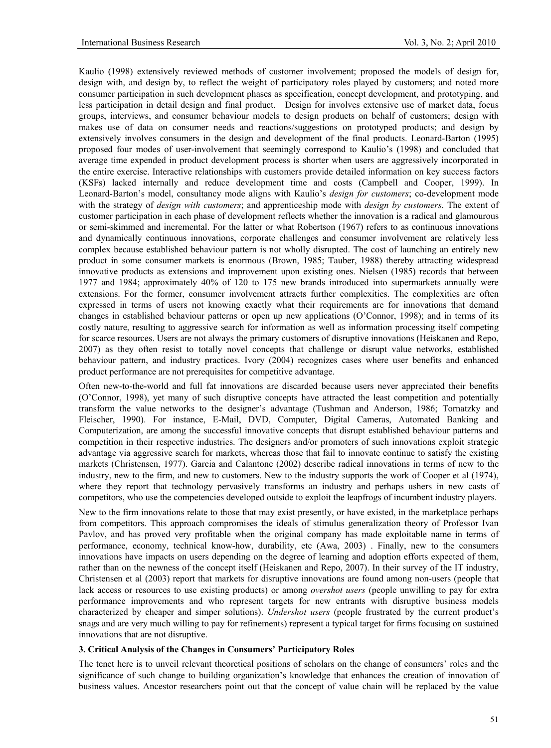Kaulio (1998) extensively reviewed methods of customer involvement; proposed the models of design for, design with, and design by, to reflect the weight of participatory roles played by customers; and noted more consumer participation in such development phases as specification, concept development, and prototyping, and less participation in detail design and final product. Design for involves extensive use of market data, focus groups, interviews, and consumer behaviour models to design products on behalf of customers; design with makes use of data on consumer needs and reactions/suggestions on prototyped products; and design by extensively involves consumers in the design and development of the final products. Leonard-Barton (1995) proposed four modes of user-involvement that seemingly correspond to Kaulio's (1998) and concluded that average time expended in product development process is shorter when users are aggressively incorporated in the entire exercise. Interactive relationships with customers provide detailed information on key success factors (KSFs) lacked internally and reduce development time and costs (Campbell and Cooper, 1999). In Leonard-Barton's model, consultancy mode aligns with Kaulio's *design for customers*; co-development mode with the strategy of *design with customers*; and apprenticeship mode with *design by customers*. The extent of customer participation in each phase of development reflects whether the innovation is a radical and glamourous or semi-skimmed and incremental. For the latter or what Robertson (1967) refers to as continuous innovations and dynamically continuous innovations, corporate challenges and consumer involvement are relatively less complex because established behaviour pattern is not wholly disrupted. The cost of launching an entirely new product in some consumer markets is enormous (Brown, 1985; Tauber, 1988) thereby attracting widespread innovative products as extensions and improvement upon existing ones. Nielsen (1985) records that between 1977 and 1984; approximately 40% of 120 to 175 new brands introduced into supermarkets annually were extensions. For the former, consumer involvement attracts further complexities. The complexities are often expressed in terms of users not knowing exactly what their requirements are for innovations that demand changes in established behaviour patterns or open up new applications (O'Connor, 1998); and in terms of its costly nature, resulting to aggressive search for information as well as information processing itself competing for scarce resources. Users are not always the primary customers of disruptive innovations (Heiskanen and Repo, 2007) as they often resist to totally novel concepts that challenge or disrupt value networks, established behaviour pattern, and industry practices. Ivory (2004) recognizes cases where user benefits and enhanced product performance are not prerequisites for competitive advantage.

Often new-to-the-world and full fat innovations are discarded because users never appreciated their benefits (O'Connor, 1998), yet many of such disruptive concepts have attracted the least competition and potentially transform the value networks to the designer's advantage (Tushman and Anderson, 1986; Tornatzky and Fleischer, 1990). For instance, E-Mail, DVD, Computer, Digital Cameras, Automated Banking and Computerization, are among the successful innovative concepts that disrupt established behaviour patterns and competition in their respective industries. The designers and/or promoters of such innovations exploit strategic advantage via aggressive search for markets, whereas those that fail to innovate continue to satisfy the existing markets (Christensen, 1977). Garcia and Calantone (2002) describe radical innovations in terms of new to the industry, new to the firm, and new to customers. New to the industry supports the work of Cooper et al (1974), where they report that technology pervasively transforms an industry and perhaps ushers in new casts of competitors, who use the competencies developed outside to exploit the leapfrogs of incumbent industry players.

New to the firm innovations relate to those that may exist presently, or have existed, in the marketplace perhaps from competitors. This approach compromises the ideals of stimulus generalization theory of Professor Ivan Pavlov, and has proved very profitable when the original company has made exploitable name in terms of performance, economy, technical know-how, durability, etc (Awa, 2003) . Finally, new to the consumers innovations have impacts on users depending on the degree of learning and adoption efforts expected of them, rather than on the newness of the concept itself (Heiskanen and Repo, 2007). In their survey of the IT industry, Christensen et al (2003) report that markets for disruptive innovations are found among non-users (people that lack access or resources to use existing products) or among *overshot users* (people unwilling to pay for extra performance improvements and who represent targets for new entrants with disruptive business models characterized by cheaper and simper solutions). *Undershot users* (people frustrated by the current product's snags and are very much willing to pay for refinements) represent a typical target for firms focusing on sustained innovations that are not disruptive.

## **3. Critical Analysis of the Changes in Consumers' Participatory Roles**

The tenet here is to unveil relevant theoretical positions of scholars on the change of consumers' roles and the significance of such change to building organization's knowledge that enhances the creation of innovation of business values. Ancestor researchers point out that the concept of value chain will be replaced by the value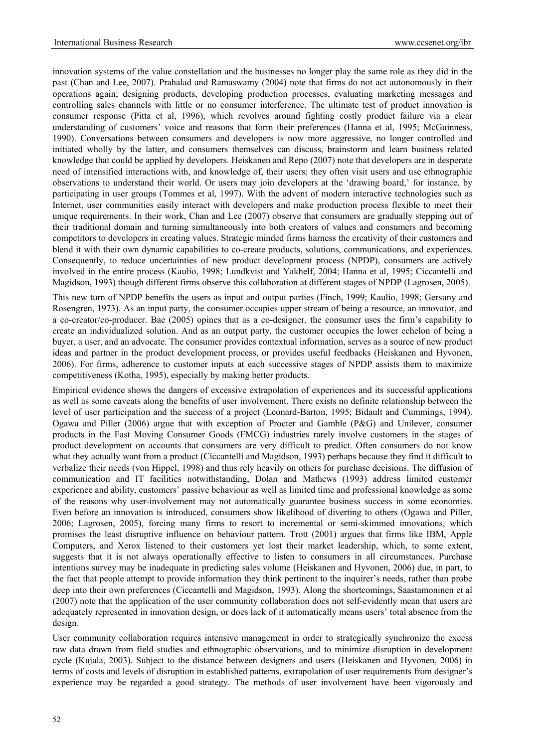innovation systems of the value constellation and the businesses no longer play the same role as they did in the past (Chan and Lee, 2007). Prahalad and Ramaswamy (2004) note that firms do not act autonomously in their operations again; designing products, developing production processes, evaluating marketing messages and controlling sales channels with little or no consumer interference. The ultimate test of product innovation is consumer response (Pitta et al, 1996), which revolves around fighting costly product failure via a clear understanding of customers' voice and reasons that form their preferences (Hanna et al, 1995; McGuinness, 1990). Conversations between consumers and developers is now more aggressive, no longer controlled and initiated wholly by the latter, and consumers themselves can discuss, brainstorm and learn business related knowledge that could be applied by developers. Heiskanen and Repo (2007) note that developers are in desperate need of intensified interactions with, and knowledge of, their users; they often visit users and use ethnographic observations to understand their world. Or users may join developers at the 'drawing board,' for instance, by participating in user groups (Tommes et al, 1997). With the advent of modern interactive technologies such as Internet, user communities easily interact with developers and make production process flexible to meet their unique requirements. In their work, Chan and Lee (2007) observe that consumers are gradually stepping out of their traditional domain and turning simultaneously into both creators of values and consumers and becoming competitors to developers in creating values. Strategic minded firms harness the creativity of their customers and blend it with their own dynamic capabilities to co-create products, solutions, communications, and experiences. Consequently, to reduce uncertainties of new product development process (NPDP), consumers are actively involved in the entire process (Kaulio, 1998; Lundkvist and Yakhelf, 2004; Hanna et al, 1995; Ciccantelli and Magidson, 1993) though different firms observe this collaboration at different stages of NPDP (Lagrosen, 2005).

This new turn of NPDP benefits the users as input and output parties (Finch, 1999; Kaulio, 1998; Gersuny and Rosengren, 1973). As an input party, the consumer occupies upper stream of being a resource, an innovator, and a co-creator/co-producer. Bae (2005) opines that as a co-designer, the consumer uses the firm's capability to create an individualized solution. And as an output party, the customer occupies the lower echelon of being a buyer, a user, and an advocate. The consumer provides contextual information, serves as a source of new product ideas and partner in the product development process, or provides useful feedbacks (Heiskanen and Hyvonen, 2006). For firms, adherence to customer inputs at each successive stages of NPDP assists them to maximize competitiveness (Kotha, 1995), especially by making better products.

Empirical evidence shows the dangers of excessive extrapolation of experiences and its successful applications as well as some caveats along the benefits of user involvement. There exists no definite relationship between the level of user participation and the success of a project (Leonard-Barton, 1995; Bidault and Cummings, 1994). Ogawa and Piller (2006) argue that with exception of Procter and Gamble (P&G) and Unilever, consumer products in the Fast Moving Consumer Goods (FMCG) industries rarely involve customers in the stages of product development on accounts that consumers are very difficult to predict. Often consumers do not know what they actually want from a product (Ciccantelli and Magidson, 1993) perhaps because they find it difficult to verbalize their needs (von Hippel, 1998) and thus rely heavily on others for purchase decisions. The diffusion of communication and IT facilities notwithstanding, Dolan and Mathews (1993) address limited customer experience and ability, customers' passive behaviour as well as limited time and professional knowledge as some of the reasons why user-involvement may not automatically guarantee business success in some economies. Even before an innovation is introduced, consumers show likelihood of diverting to others (Ogawa and Piller, 2006; Lagrosen, 2005), forcing many firms to resort to incremental or semi-skimmed innovations, which promises the least disruptive influence on behaviour pattern. Trott (2001) argues that firms like IBM, Apple Computers, and Xerox listened to their customers yet lost their market leadership, which, to some extent, suggests that it is not always operationally effective to listen to consumers in all circumstances. Purchase intentions survey may be inadequate in predicting sales volume (Heiskanen and Hyvonen, 2006) due, in part, to the fact that people attempt to provide information they think pertinent to the inquirer's needs, rather than probe deep into their own preferences (Ciccantelli and Magidson, 1993). Along the shortcomings, Saastamoninen et al (2007) note that the application of the user community collaboration does not self-evidently mean that users are adequately represented in innovation design, or does lack of it automatically means users' total absence from the design.

User community collaboration requires intensive management in order to strategically synchronize the excess raw data drawn from field studies and ethnographic observations, and to minimize disruption in development cycle (Kujala, 2003). Subject to the distance between designers and users (Heiskanen and Hyvonen, 2006) in terms of costs and levels of disruption in established patterns, extrapolation of user requirements from designer's experience may be regarded a good strategy. The methods of user involvement have been vigorously and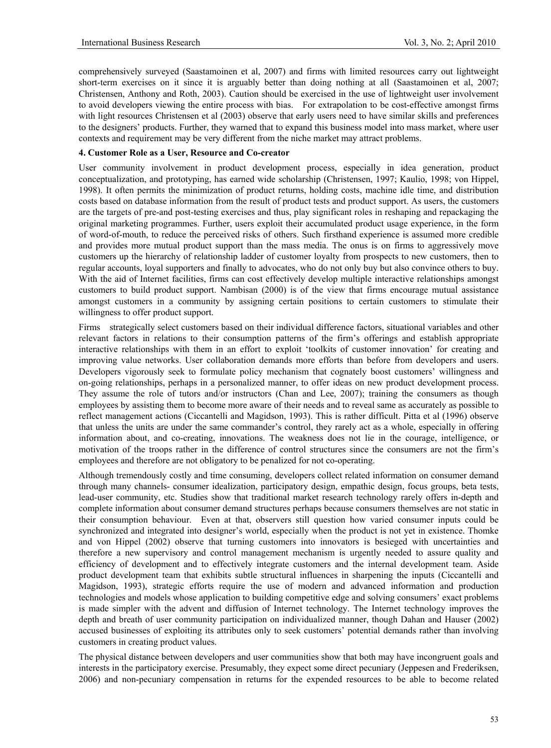comprehensively surveyed (Saastamoinen et al, 2007) and firms with limited resources carry out lightweight short-term exercises on it since it is arguably better than doing nothing at all (Saastamoinen et al, 2007; Christensen, Anthony and Roth, 2003). Caution should be exercised in the use of lightweight user involvement to avoid developers viewing the entire process with bias. For extrapolation to be cost-effective amongst firms with light resources Christensen et al (2003) observe that early users need to have similar skills and preferences to the designers' products. Further, they warned that to expand this business model into mass market, where user contexts and requirement may be very different from the niche market may attract problems.

## **4. Customer Role as a User, Resource and Co-creator**

User community involvement in product development process, especially in idea generation, product conceptualization, and prototyping, has earned wide scholarship (Christensen, 1997; Kaulio, 1998; von Hippel, 1998). It often permits the minimization of product returns, holding costs, machine idle time, and distribution costs based on database information from the result of product tests and product support. As users, the customers are the targets of pre-and post-testing exercises and thus, play significant roles in reshaping and repackaging the original marketing programmes. Further, users exploit their accumulated product usage experience, in the form of word-of-mouth, to reduce the perceived risks of others. Such firsthand experience is assumed more credible and provides more mutual product support than the mass media. The onus is on firms to aggressively move customers up the hierarchy of relationship ladder of customer loyalty from prospects to new customers, then to regular accounts, loyal supporters and finally to advocates, who do not only buy but also convince others to buy. With the aid of Internet facilities, firms can cost effectively develop multiple interactive relationships amongst customers to build product support. Nambisan (2000) is of the view that firms encourage mutual assistance amongst customers in a community by assigning certain positions to certain customers to stimulate their willingness to offer product support.

Firms strategically select customers based on their individual difference factors, situational variables and other relevant factors in relations to their consumption patterns of the firm's offerings and establish appropriate interactive relationships with them in an effort to exploit 'toolkits of customer innovation' for creating and improving value networks. User collaboration demands more efforts than before from developers and users. Developers vigorously seek to formulate policy mechanism that cognately boost customers' willingness and on-going relationships, perhaps in a personalized manner, to offer ideas on new product development process. They assume the role of tutors and/or instructors (Chan and Lee, 2007); training the consumers as though employees by assisting them to become more aware of their needs and to reveal same as accurately as possible to reflect management actions (Ciccantelli and Magidson, 1993). This is rather difficult. Pitta et al (1996) observe that unless the units are under the same commander's control, they rarely act as a whole, especially in offering information about, and co-creating, innovations. The weakness does not lie in the courage, intelligence, or motivation of the troops rather in the difference of control structures since the consumers are not the firm's employees and therefore are not obligatory to be penalized for not co-operating.

Although tremendously costly and time consuming, developers collect related information on consumer demand through many channels- consumer idealization, participatory design, empathic design, focus groups, beta tests, lead-user community, etc. Studies show that traditional market research technology rarely offers in-depth and complete information about consumer demand structures perhaps because consumers themselves are not static in their consumption behaviour. Even at that, observers still question how varied consumer inputs could be synchronized and integrated into designer's world, especially when the product is not yet in existence. Thomke and von Hippel (2002) observe that turning customers into innovators is besieged with uncertainties and therefore a new supervisory and control management mechanism is urgently needed to assure quality and efficiency of development and to effectively integrate customers and the internal development team. Aside product development team that exhibits subtle structural influences in sharpening the inputs (Ciccantelli and Magidson, 1993), strategic efforts require the use of modern and advanced information and production technologies and models whose application to building competitive edge and solving consumers' exact problems is made simpler with the advent and diffusion of Internet technology. The Internet technology improves the depth and breath of user community participation on individualized manner, though Dahan and Hauser (2002) accused businesses of exploiting its attributes only to seek customers' potential demands rather than involving customers in creating product values.

The physical distance between developers and user communities show that both may have incongruent goals and interests in the participatory exercise. Presumably, they expect some direct pecuniary (Jeppesen and Frederiksen, 2006) and non-pecuniary compensation in returns for the expended resources to be able to become related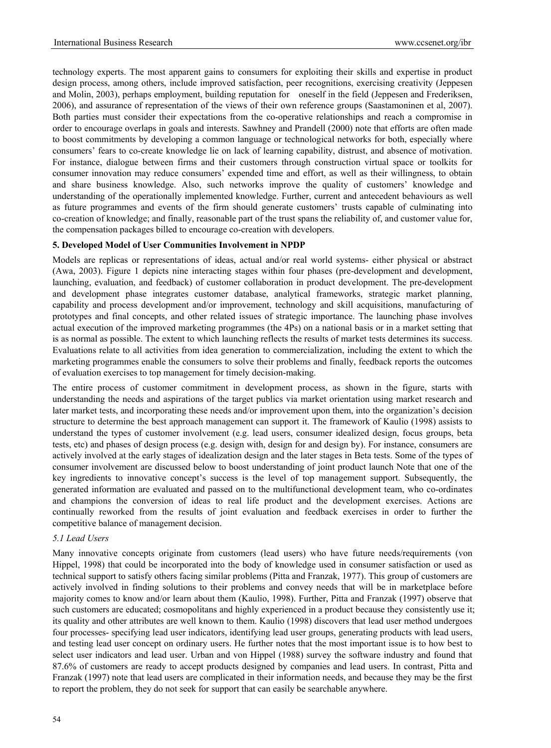technology experts. The most apparent gains to consumers for exploiting their skills and expertise in product design process, among others, include improved satisfaction, peer recognitions, exercising creativity (Jeppesen and Molin, 2003), perhaps employment, building reputation for oneself in the field (Jeppesen and Frederiksen, 2006), and assurance of representation of the views of their own reference groups (Saastamoninen et al, 2007). Both parties must consider their expectations from the co-operative relationships and reach a compromise in order to encourage overlaps in goals and interests. Sawhney and Prandell (2000) note that efforts are often made to boost commitments by developing a common language or technological networks for both, especially where consumers' fears to co-create knowledge lie on lack of learning capability, distrust, and absence of motivation. For instance, dialogue between firms and their customers through construction virtual space or toolkits for consumer innovation may reduce consumers' expended time and effort, as well as their willingness, to obtain and share business knowledge. Also, such networks improve the quality of customers' knowledge and understanding of the operationally implemented knowledge. Further, current and antecedent behaviours as well as future programmes and events of the firm should generate customers' trusts capable of culminating into co-creation of knowledge; and finally, reasonable part of the trust spans the reliability of, and customer value for, the compensation packages billed to encourage co-creation with developers.

#### **5. Developed Model of User Communities Involvement in NPDP**

Models are replicas or representations of ideas, actual and/or real world systems- either physical or abstract (Awa, 2003). Figure 1 depicts nine interacting stages within four phases (pre-development and development, launching, evaluation, and feedback) of customer collaboration in product development. The pre-development and development phase integrates customer database, analytical frameworks, strategic market planning, capability and process development and/or improvement, technology and skill acquisitions, manufacturing of prototypes and final concepts, and other related issues of strategic importance. The launching phase involves actual execution of the improved marketing programmes (the 4Ps) on a national basis or in a market setting that is as normal as possible. The extent to which launching reflects the results of market tests determines its success. Evaluations relate to all activities from idea generation to commercialization, including the extent to which the marketing programmes enable the consumers to solve their problems and finally, feedback reports the outcomes of evaluation exercises to top management for timely decision-making.

The entire process of customer commitment in development process, as shown in the figure, starts with understanding the needs and aspirations of the target publics via market orientation using market research and later market tests, and incorporating these needs and/or improvement upon them, into the organization's decision structure to determine the best approach management can support it. The framework of Kaulio (1998) assists to understand the types of customer involvement (e.g. lead users, consumer idealized design, focus groups, beta tests, etc) and phases of design process (e.g. design with, design for and design by). For instance, consumers are actively involved at the early stages of idealization design and the later stages in Beta tests. Some of the types of consumer involvement are discussed below to boost understanding of joint product launch Note that one of the key ingredients to innovative concept's success is the level of top management support. Subsequently, the generated information are evaluated and passed on to the multifunctional development team, who co-ordinates and champions the conversion of ideas to real life product and the development exercises. Actions are continually reworked from the results of joint evaluation and feedback exercises in order to further the competitive balance of management decision.

#### *5.1 Lead Users*

Many innovative concepts originate from customers (lead users) who have future needs/requirements (von Hippel, 1998) that could be incorporated into the body of knowledge used in consumer satisfaction or used as technical support to satisfy others facing similar problems (Pitta and Franzak, 1977). This group of customers are actively involved in finding solutions to their problems and convey needs that will be in marketplace before majority comes to know and/or learn about them (Kaulio, 1998). Further, Pitta and Franzak (1997) observe that such customers are educated; cosmopolitans and highly experienced in a product because they consistently use it; its quality and other attributes are well known to them. Kaulio (1998) discovers that lead user method undergoes four processes- specifying lead user indicators, identifying lead user groups, generating products with lead users, and testing lead user concept on ordinary users. He further notes that the most important issue is to how best to select user indicators and lead user. Urban and von Hippel (1988) survey the software industry and found that 87.6% of customers are ready to accept products designed by companies and lead users. In contrast, Pitta and Franzak (1997) note that lead users are complicated in their information needs, and because they may be the first to report the problem, they do not seek for support that can easily be searchable anywhere.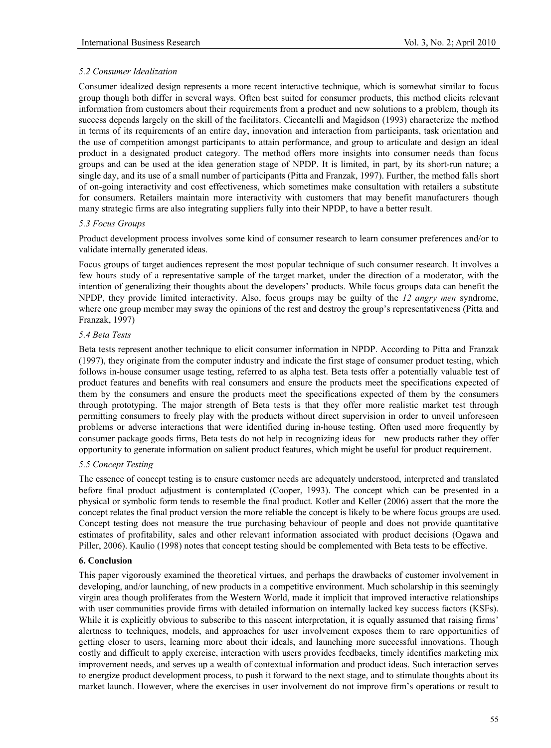## *5.2 Consumer Idealization*

Consumer idealized design represents a more recent interactive technique, which is somewhat similar to focus group though both differ in several ways. Often best suited for consumer products, this method elicits relevant information from customers about their requirements from a product and new solutions to a problem, though its success depends largely on the skill of the facilitators. Ciccantelli and Magidson (1993) characterize the method in terms of its requirements of an entire day, innovation and interaction from participants, task orientation and the use of competition amongst participants to attain performance, and group to articulate and design an ideal product in a designated product category. The method offers more insights into consumer needs than focus groups and can be used at the idea generation stage of NPDP. It is limited, in part, by its short-run nature; a single day, and its use of a small number of participants (Pitta and Franzak, 1997). Further, the method falls short of on-going interactivity and cost effectiveness, which sometimes make consultation with retailers a substitute for consumers. Retailers maintain more interactivity with customers that may benefit manufacturers though many strategic firms are also integrating suppliers fully into their NPDP, to have a better result.

## *5.3 Focus Groups*

Product development process involves some kind of consumer research to learn consumer preferences and/or to validate internally generated ideas.

Focus groups of target audiences represent the most popular technique of such consumer research. It involves a few hours study of a representative sample of the target market, under the direction of a moderator, with the intention of generalizing their thoughts about the developers' products. While focus groups data can benefit the NPDP, they provide limited interactivity. Also, focus groups may be guilty of the *12 angry men* syndrome, where one group member may sway the opinions of the rest and destroy the group's representativeness (Pitta and Franzak, 1997)

#### *5.4 Beta Tests*

Beta tests represent another technique to elicit consumer information in NPDP. According to Pitta and Franzak (1997), they originate from the computer industry and indicate the first stage of consumer product testing, which follows in-house consumer usage testing, referred to as alpha test. Beta tests offer a potentially valuable test of product features and benefits with real consumers and ensure the products meet the specifications expected of them by the consumers and ensure the products meet the specifications expected of them by the consumers through prototyping. The major strength of Beta tests is that they offer more realistic market test through permitting consumers to freely play with the products without direct supervision in order to unveil unforeseen problems or adverse interactions that were identified during in-house testing. Often used more frequently by consumer package goods firms, Beta tests do not help in recognizing ideas for new products rather they offer opportunity to generate information on salient product features, which might be useful for product requirement.

## *5.5 Concept Testing*

The essence of concept testing is to ensure customer needs are adequately understood, interpreted and translated before final product adjustment is contemplated (Cooper, 1993). The concept which can be presented in a physical or symbolic form tends to resemble the final product. Kotler and Keller (2006) assert that the more the concept relates the final product version the more reliable the concept is likely to be where focus groups are used. Concept testing does not measure the true purchasing behaviour of people and does not provide quantitative estimates of profitability, sales and other relevant information associated with product decisions (Ogawa and Piller, 2006). Kaulio (1998) notes that concept testing should be complemented with Beta tests to be effective.

#### **6. Conclusion**

This paper vigorously examined the theoretical virtues, and perhaps the drawbacks of customer involvement in developing, and/or launching, of new products in a competitive environment. Much scholarship in this seemingly virgin area though proliferates from the Western World, made it implicit that improved interactive relationships with user communities provide firms with detailed information on internally lacked key success factors (KSFs). While it is explicitly obvious to subscribe to this nascent interpretation, it is equally assumed that raising firms' alertness to techniques, models, and approaches for user involvement exposes them to rare opportunities of getting closer to users, learning more about their ideals, and launching more successful innovations. Though costly and difficult to apply exercise, interaction with users provides feedbacks, timely identifies marketing mix improvement needs, and serves up a wealth of contextual information and product ideas. Such interaction serves to energize product development process, to push it forward to the next stage, and to stimulate thoughts about its market launch. However, where the exercises in user involvement do not improve firm's operations or result to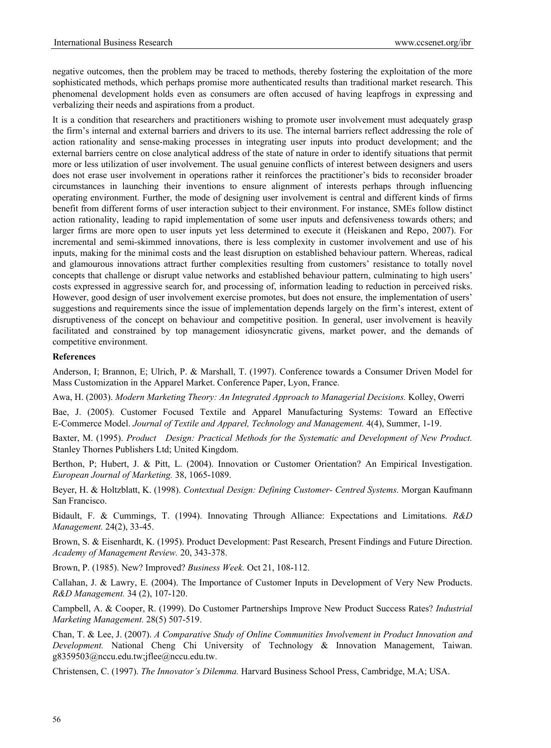negative outcomes, then the problem may be traced to methods, thereby fostering the exploitation of the more sophisticated methods, which perhaps promise more authenticated results than traditional market research. This phenomenal development holds even as consumers are often accused of having leapfrogs in expressing and verbalizing their needs and aspirations from a product.

It is a condition that researchers and practitioners wishing to promote user involvement must adequately grasp the firm's internal and external barriers and drivers to its use. The internal barriers reflect addressing the role of action rationality and sense-making processes in integrating user inputs into product development; and the external barriers centre on close analytical address of the state of nature in order to identify situations that permit more or less utilization of user involvement. The usual genuine conflicts of interest between designers and users does not erase user involvement in operations rather it reinforces the practitioner's bids to reconsider broader circumstances in launching their inventions to ensure alignment of interests perhaps through influencing operating environment. Further, the mode of designing user involvement is central and different kinds of firms benefit from different forms of user interaction subject to their environment. For instance, SMEs follow distinct action rationality, leading to rapid implementation of some user inputs and defensiveness towards others; and larger firms are more open to user inputs yet less determined to execute it (Heiskanen and Repo, 2007). For incremental and semi-skimmed innovations, there is less complexity in customer involvement and use of his inputs, making for the minimal costs and the least disruption on established behaviour pattern. Whereas, radical and glamourous innovations attract further complexities resulting from customers' resistance to totally novel concepts that challenge or disrupt value networks and established behaviour pattern, culminating to high users' costs expressed in aggressive search for, and processing of, information leading to reduction in perceived risks. However, good design of user involvement exercise promotes, but does not ensure, the implementation of users' suggestions and requirements since the issue of implementation depends largely on the firm's interest, extent of disruptiveness of the concept on behaviour and competitive position. In general, user involvement is heavily facilitated and constrained by top management idiosyncratic givens, market power, and the demands of competitive environment.

#### **References**

Anderson, I; Brannon, E; Ulrich, P. & Marshall, T. (1997). Conference towards a Consumer Driven Model for Mass Customization in the Apparel Market. Conference Paper, Lyon, France.

Awa, H. (2003). *Modern Marketing Theory: An Integrated Approach to Managerial Decisions.* Kolley, Owerri

Bae, J. (2005). Customer Focused Textile and Apparel Manufacturing Systems: Toward an Effective E-Commerce Model. *Journal of Textile and Apparel, Technology and Management.* 4(4), Summer, 1-19.

Baxter, M. (1995). *Product Design: Practical Methods for the Systematic and Development of New Product.* Stanley Thornes Publishers Ltd; United Kingdom.

Berthon, P; Hubert, J. & Pitt, L. (2004). Innovation or Customer Orientation? An Empirical Investigation. *European Journal of Marketing.* 38, 1065-1089.

Beyer, H. & Holtzblatt, K. (1998). *Contextual Design: Defining Customer- Centred Systems.* Morgan Kaufmann San Francisco.

Bidault, F. & Cummings, T. (1994). Innovating Through Alliance: Expectations and Limitations. *R&D Management.* 24(2), 33-45.

Brown, S. & Eisenhardt, K. (1995). Product Development: Past Research, Present Findings and Future Direction. *Academy of Management Review.* 20, 343-378.

Brown, P. (1985). New? Improved? *Business Week.* Oct 21, 108-112.

Callahan, J. & Lawry, E. (2004). The Importance of Customer Inputs in Development of Very New Products. *R&D Management.* 34 (2), 107-120.

Campbell, A. & Cooper, R. (1999). Do Customer Partnerships Improve New Product Success Rates? *Industrial Marketing Management.* 28(5) 507-519.

Chan, T. & Lee, J. (2007). *A Comparative Study of Online Communities Involvement in Product Innovation and Development.* National Cheng Chi University of Technology & Innovation Management, Taiwan. g8359503@nccu.edu.tw;jflee@nccu.edu.tw.

Christensen, C. (1997). *The Innovator's Dilemma.* Harvard Business School Press, Cambridge, M.A; USA.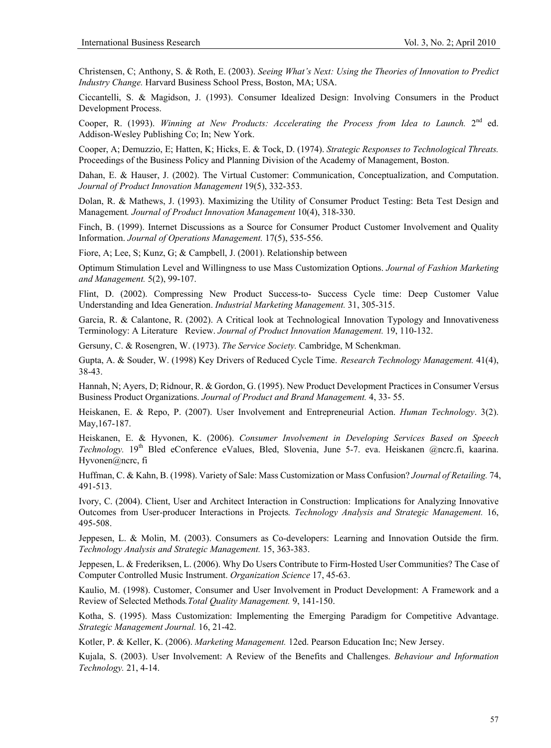Christensen, C; Anthony, S. & Roth, E. (2003). *Seeing What's Next: Using the Theories of Innovation to Predict Industry Change.* Harvard Business School Press, Boston, MA; USA.

Ciccantelli, S. & Magidson, J. (1993). Consumer Idealized Design: Involving Consumers in the Product Development Process.

Cooper, R. (1993). Winning at New Products: Accelerating the Process from Idea to Launch. 2<sup>nd</sup> ed. Addison-Wesley Publishing Co; In; New York.

Cooper, A; Demuzzio, E; Hatten, K; Hicks, E. & Tock, D. (1974). *Strategic Responses to Technological Threats.* Proceedings of the Business Policy and Planning Division of the Academy of Management, Boston.

Dahan, E. & Hauser, J. (2002). The Virtual Customer: Communication, Conceptualization, and Computation. *Journal of Product Innovation Management* 19(5), 332-353.

Dolan, R. & Mathews, J. (1993). Maximizing the Utility of Consumer Product Testing: Beta Test Design and Management*. Journal of Product Innovation Management* 10(4), 318-330.

Finch, B. (1999). Internet Discussions as a Source for Consumer Product Customer Involvement and Quality Information. *Journal of Operations Management.* 17(5), 535-556.

Fiore, A; Lee, S; Kunz, G; & Campbell, J. (2001). Relationship between

Optimum Stimulation Level and Willingness to use Mass Customization Options. *Journal of Fashion Marketing and Management.* 5(2), 99-107.

Flint, D. (2002). Compressing New Product Success-to- Success Cycle time: Deep Customer Value Understanding and Idea Generation. *Industrial Marketing Management.* 31, 305-315.

Garcia, R. & Calantone, R. (2002). A Critical look at Technological Innovation Typology and Innovativeness Terminology: A Literature Review. *Journal of Product Innovation Management.* 19, 110-132.

Gersuny, C. & Rosengren, W. (1973). *The Service Society.* Cambridge, M Schenkman.

Gupta, A. & Souder, W. (1998) Key Drivers of Reduced Cycle Time. *Research Technology Management.* 41(4), 38-43.

Hannah, N; Ayers, D; Ridnour, R. & Gordon, G. (1995). New Product Development Practices in Consumer Versus Business Product Organizations. *Journal of Product and Brand Management.* 4, 33- 55.

Heiskanen, E. & Repo, P. (2007). User Involvement and Entrepreneurial Action. *Human Technology*. 3(2). May,167-187.

Heiskanen, E. & Hyvonen, K. (2006). *Consumer Involvement in Developing Services Based on Speech Technology.* 19th Bled eConference eValues, Bled, Slovenia, June 5-7. eva. Heiskanen @ncrc.fi, kaarina. Hyvonen@ncrc, fi

Huffman, C. & Kahn, B. (1998). Variety of Sale: Mass Customization or Mass Confusion? *Journal of Retailing.* 74, 491-513.

Ivory, C. (2004). Client, User and Architect Interaction in Construction: Implications for Analyzing Innovative Outcomes from User-producer Interactions in Projects*. Technology Analysis and Strategic Management.* 16, 495-508.

Jeppesen, L. & Molin, M. (2003). Consumers as Co-developers: Learning and Innovation Outside the firm. *Technology Analysis and Strategic Management.* 15, 363-383.

Jeppesen, L. & Frederiksen, L. (2006). Why Do Users Contribute to Firm-Hosted User Communities? The Case of Computer Controlled Music Instrument. *Organization Science* 17, 45-63.

Kaulio, M. (1998). Customer, Consumer and User Involvement in Product Development: A Framework and a Review of Selected Methods*.Total Quality Management.* 9, 141-150.

Kotha, S. (1995). Mass Customization: Implementing the Emerging Paradigm for Competitive Advantage. *Strategic Management Journal.* 16, 21-42.

Kotler, P. & Keller, K. (2006). *Marketing Management.* 12ed. Pearson Education Inc; New Jersey.

Kujala, S. (2003). User Involvement: A Review of the Benefits and Challenges. *Behaviour and Information Technology.* 21, 4-14.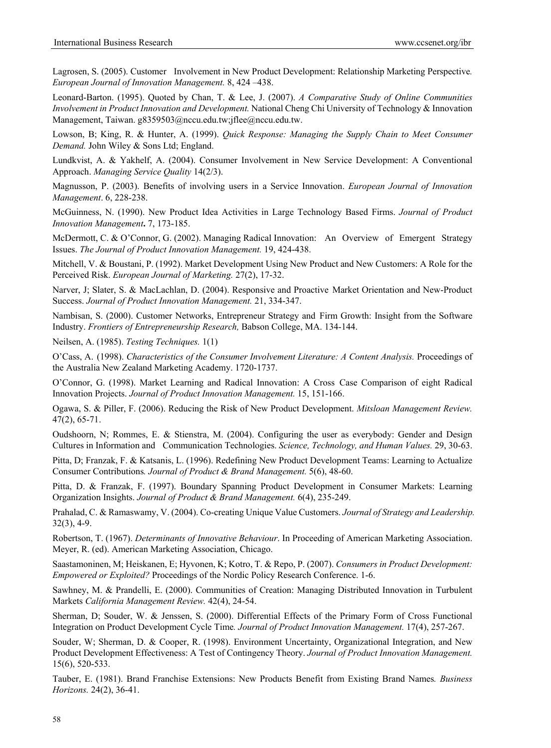Lagrosen, S. (2005). Customer Involvement in New Product Development: Relationship Marketing Perspective*. European Journal of Innovation Management.* 8, 424 –438.

Leonard-Barton. (1995). Quoted by Chan, T. & Lee, J. (2007). *A Comparative Study of Online Communities Involvement in Product Innovation and Development.* National Cheng Chi University of Technology & Innovation Management, Taiwan. g8359503@nccu.edu.tw;jflee@nccu.edu.tw.

Lowson, B; King, R. & Hunter, A. (1999). *Quick Response: Managing the Supply Chain to Meet Consumer Demand.* John Wiley & Sons Ltd; England.

Lundkvist, A. & Yakhelf, A. (2004). Consumer Involvement in New Service Development: A Conventional Approach. *Managing Service Quality* 14(2/3).

Magnusson, P. (2003). Benefits of involving users in a Service Innovation. *European Journal of Innovation Management*. 6, 228-238.

McGuinness, N. (1990). New Product Idea Activities in Large Technology Based Firms. *Journal of Product Innovation Management***.** 7, 173-185.

McDermott, C. & O'Connor, G. (2002). Managing Radical Innovation: An Overview of Emergent Strategy Issues. *The Journal of Product Innovation Management.* 19, 424-438.

Mitchell, V. & Boustani, P. (1992). Market Development Using New Product and New Customers: A Role for the Perceived Risk. *European Journal of Marketing.* 27(2), 17-32.

Narver, J; Slater, S. & MacLachlan, D. (2004). Responsive and Proactive Market Orientation and New-Product Success. *Journal of Product Innovation Management.* 21, 334-347.

Nambisan, S. (2000). Customer Networks, Entrepreneur Strategy and Firm Growth: Insight from the Software Industry. *Frontiers of Entrepreneurship Research,* Babson College, MA. 134-144.

Neilsen, A. (1985). *Testing Techniques.* 1(1)

O'Cass, A. (1998). *Characteristics of the Consumer Involvement Literature: A Content Analysis.* Proceedings of the Australia New Zealand Marketing Academy. 1720-1737.

O'Connor, G. (1998). Market Learning and Radical Innovation: A Cross Case Comparison of eight Radical Innovation Projects. *Journal of Product Innovation Management.* 15, 151-166.

Ogawa, S. & Piller, F. (2006). Reducing the Risk of New Product Development. *Mitsloan Management Review.* 47(2), 65-71.

Oudshoorn, N; Rommes, E. & Stienstra, M. (2004). Configuring the user as everybody: Gender and Design Cultures in Information and Communication Technologies. *Science, Technology, and Human Values.* 29, 30-63.

Pitta, D; Franzak, F. & Katsanis, L. (1996). Redefining New Product Development Teams: Learning to Actualize Consumer Contributions*. Journal of Product & Brand Management.* 5(6), 48-60.

Pitta, D. & Franzak, F. (1997). Boundary Spanning Product Development in Consumer Markets: Learning Organization Insights. *Journal of Product & Brand Management.* 6(4), 235-249.

Prahalad, C. & Ramaswamy, V. (2004). Co-creating Unique Value Customers. *Journal of Strategy and Leadership.* 32(3), 4-9.

Robertson, T. (1967). *Determinants of Innovative Behaviour*. In Proceeding of American Marketing Association. Meyer, R. (ed). American Marketing Association, Chicago.

Saastamoninen, M; Heiskanen, E; Hyvonen, K; Kotro, T. & Repo, P. (2007). *Consumers in Product Development: Empowered or Exploited?* Proceedings of the Nordic Policy Research Conference. 1-6.

Sawhney, M. & Prandelli, E. (2000). Communities of Creation: Managing Distributed Innovation in Turbulent Markets *California Management Review.* 42(4), 24-54.

Sherman, D; Souder, W. & Jenssen, S. (2000). Differential Effects of the Primary Form of Cross Functional Integration on Product Development Cycle Time*. Journal of Product Innovation Management.* 17(4), 257-267.

Souder, W; Sherman, D. & Cooper, R. (1998). Environment Uncertainty, Organizational Integration, and New Product Development Effectiveness: A Test of Contingency Theory. *Journal of Product Innovation Management.*  15(6), 520-533.

Tauber, E. (1981). Brand Franchise Extensions: New Products Benefit from Existing Brand Names*. Business Horizons.* 24(2), 36-41.